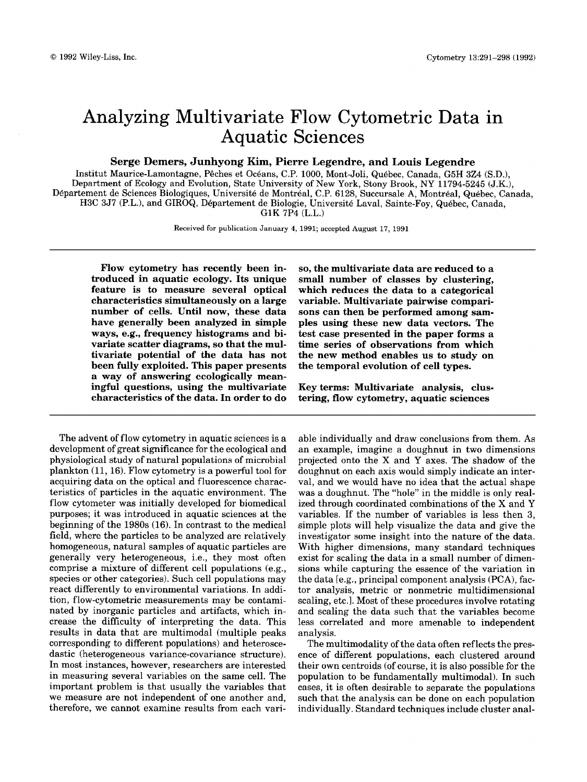# Analyzing Multivariate Flow Cytometric Data in Aquatic Sciences

**Serge Demers, Junhyong Kim, Pierre Legendre, and Louis Legendre** 

Institut Maurice-Lamontagne, Pêches et Océans, C.P. 1000, Mont-Joli, Québec, Canada, G5H 3Z4 (S.D.), Department of Ecology and Evolution, State University of **New York,** Stony Brook, NY 11794-5245 (J.K.), Departement de Sciences Biologiques, Universite de Montreal, C.P. 6128, Succursale **A.** Montreal. Quebec. Canada. H3C 3J7 (P.L.), and GIROQ, Département de Biologie, Université Laval, Sainte-Foy, Québec, Canada, **G1K** 7P4 (L.L.)

**Received** for **publication January 4, 1991; accepted August 17,** 1991

**Flow cytometry has recently been introduced in aquatic ecology. Its unique feature is to measure several optical characteristics simultaneously on a large number of cells. Until now, these data have generally been analyzed in simple ways, e.g., frequency histograms and bivariate scatter diagrams,** *so* **that the multivariate potential of the data has not been fully exploited. This paper presents a way of answering ecologically meaningful questions, using the multivariate characteristics of the data. In order to do** 

The advent of flow cytometry in aquatic sciences is a development of great significance for the ecological and physiological study of natural populations of microbial plankton (11,16). Flow cytometry is a powerful tool for acquiring data on the optical and fluorescence characteristics of particles in the aquatic environment. The flow cytometer was initially developed for biomedical purposes; it was introduced in aquatic sciences at the beginning of the 1980s (16). In contrast to the medical field, where the particles to be analyzed are relatively homogeneous, natural samples of aquatic particles are generally very heterogeneous, i.e., they most often comprise a mixture of different cell populations (e.g., species or other categories). Such cell populations may react differently to environmental variations. In addition, flow-cytometric measurements may be contaminated by inorganic particles and artifacts, which increase the difficulty of interpreting the data. This results in data that are multimodal (multiple peaks corresponding to different populations) and heteroscedastic (heterogeneous variance-covariance structure). In most instances, however, researchers are interested in measuring several variables on the same cell. The important problem is that usually the variables that we measure are not independent of one another and, therefore, we cannot examine results from each vari-

*so,* **the multivariate data are reduced to a small number of classes by clustering, which reduces the data to a categorical variable. Multivariate pairwise comparisons can then be performed among samples using these new data vectors. The test case presented in the paper forms a time series of observations from which the new method enables us to study on the temporal evolution of cell types.** 

**Key terms: Multivariate analysis, clustering, flow cytometry, aquatic sciences** 

able individually and draw conclusions from them. **As**  an example, imagine a doughnut in two dimensions projected onto the **X** and **Y** axes. The shadow of the doughnut on each axis would simply indicate an interval, and we would have no idea that the actual shape was a doughnut. The "hole" in the middle is only realized through coordinated combinations of the X and **Y**  variables. If the number of variables is less then **3,**  simple plots will help visualize the data and give the investigator some insight into the nature of the data. With higher dimensions, many standard techniques exist for scaling the data in a small number of dimensions while capturing the essence of the variation in the data [e.g., principal component analysis **(PCA),** factor analysis, metric or nonmetric multidimensional scaling, etc.]. Most of these procedures involve rotating and scaling the data such that the variables become less correlated and more amenable to independent analysis.

The multimodality of the data often reflects the presence of different populations, each clustered around their own centroids (of course, it is also possible for the population to be fundamentally multimodal). In such cases, it is often desirable to separate the populations such that the analysis can be done on each population individually. Standard techniques include cluster anal-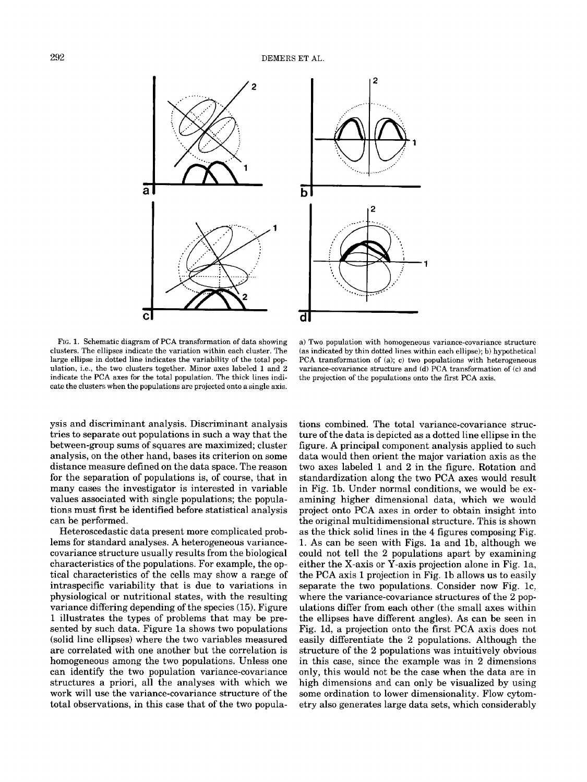

FIG. **1.** Schematic diagram of PCA transformation of data showing clusters. The ellipses indicate the variation within each cluster. The large ellipse in dotted line indicates the variability of the total population, i.e., the two clusters together. Minor axes labeled **1** and 2 indicate the PCA axes for the total population. The thick lines indicate the clusters when the populations are projected onto a single axis.

a) Two population with homogeneous variance-covariance structure (as indicated by thin dotted lines within each ellipse); b) hypothetical PCA transformation of (a); c) two populations with heterogeneous variance-covariance structure and (d) PCA transformation of (c) and the projection of the populations onto the first PCA axis.

ysis and discriminant analysis. Discriminant analysis tries to separate out populations in such a way that the between-group sums of squares are maximized; cluster analysis, on the other hand, bases its criterion on some distance measure defined on the data space. The reason for the separation of populations is, of course, that in many cases the investigator is interested in variable values associated with single populations; the populations must first be identified before statistical analysis can be performed.

Heteroscedastic data present more complicated problems for standard analyses. A heterogeneous variancecovariance structure usually results from the biological characteristics of the populations. For example, the optical characteristics of the cells may show a range of intraspecific variability that is due to variations in physiological or nutritional states, with the resulting variance differing depending of the species **(15).** Figure 1 illustrates the types of problems that may be presented by such data. Figure la shows two populations (solid line ellipses) where the two variables measured are correlated with one another but the correlation is homogeneous among the two populations. Unless one can identify the two population variance-covariance structures a priori, all the analyses with which we work will use the variance-covariance structure of the total observations, in this case that of the two popula-

tions combined. The total variance-covariance structure of the data is depicted as a dotted line ellipse in the figure. A principal component analysis applied to such data would then orient the major variation axis as the two axes labeled 1 and 2 in the figure. Rotation and standardization along the two PCA axes would result in Fig. lb. Under normal conditions, we would be examining higher dimensional data, which we would project onto PCA axes in order to obtain insight into the original multidimensional structure. This is shown as the thick solid lines in the **4** figures composing Fig. 1. As can be seen with Figs. la and lb, although we could not tell the *2* populations apart by examining either the X-axis or Y-axis projection alone in Fig. la, the PCA axis 1 projection in Fig. lb allows us to easily separate the two populations. Consider now Fig. lc, where the variance-covariance structures of the 2 populations differ from each other (the small axes within the ellipses have different angles). As can be seen in Fig. Id, a projection onto the first PCA axis does not easily differentiate the 2 populations. Although the structure of the *2* populations was intuitively obvious in this case, since the example was in 2 dimensions only, this would not be the case when the data are in high dimensions and can only be visualized by using some ordination to lower dimensionality. Flow cytometry also generates large data sets, which considerably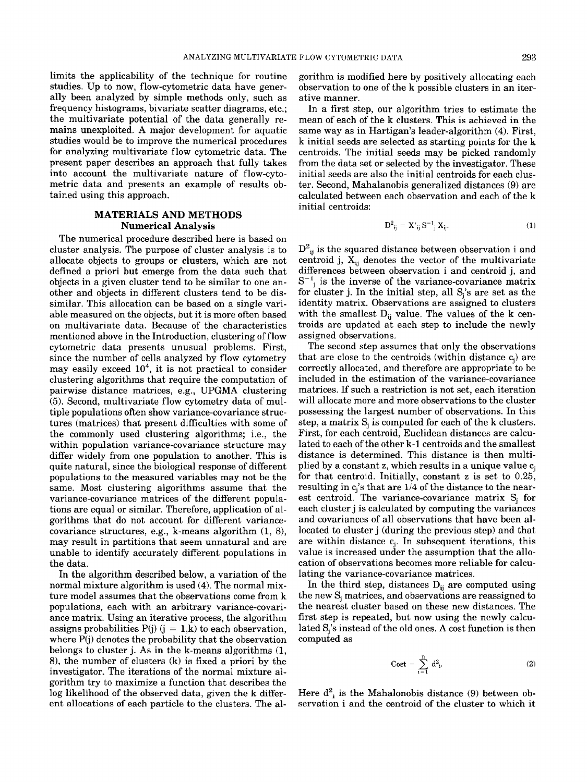limits the applicability of the technique for routine studies. Up to now, flow-cytometric data have generally been analyzed by simple methods only, such as frequency histograms, bivariate scatter diagrams, etc.; the multivariate potential of the data generally remains unexploited. **A** major development for aquatic studies would be to improve the numerical procedures for analyzing multivariate flow cytometric data. The present paper describes an approach that fully takes into account the multivariate nature of flow-cytometric data and presents an example of results obtained using this approach.

# **MATERIALS AND METHODS Numerical Analysis**

The numerical procedure described here is based on cluster analysis. The purpose of cluster analysis is to allocate objects to groups or clusters, which are not defined a priori but emerge from the data such that objects in a given cluster tend to be similar to one another and objects in different clusters tend to be dissimilar. This allocation can be based on a single variable measured on the objects, but it is more often based on multivariate data. Because of the characteristics mentioned above in the Introduction, clustering of flow cytometric data presents unusual problems. First, since the number of cells analyzed by flow cytometry may easily exceed  $10^4$ , it is not practical to consider clustering algorithms that require the computation of pairwise distance matrices, e.g., UPGMA clustering **(5).** Second, multivariate flow cytometry data of multiple populations often show variance-covariance structures (matrices) that present difficulties with some of the commonly used clustering algorithms; i.e., the within population variance-covariance structure may differ widely from one population to another. This is quite natural, since the biological response of different populations to the measured variables may not be the same. Most clustering algorithms assume that the variance-covariance matrices of the different populations are equal or similar. Therefore, application of algorithms that do not account for different variancecovariance structures, e.g., k-means algorithm (1, *B),*  may result in partitions that seem unnatural and are unable to identify accurately different populations in the data.

In the algorithm described below, a variation of the normal mixture algorithm is used **(4).** The normal mixture model assumes that the observations come from **k**  populations, each with an arbitrary variance-covariance matrix. Using an iterative process, the algorithm assigns probabilities  $P(i)$  (j = 1,k) to each observation, where  $P(j)$  denotes the probability that the observation belongs to cluster j. As in the k-means algorithms (1, 81, the number of clusters **(k)** is fixed a priori by the investigator. The iterations of the normal mixture algorithm try to maximize a function that describes the log likelihood of the observed data, given the **k** different allocations of each particle to the clusters. The al-

gorithm is modified here by positively allocating each observation to one of the k possible clusters in an iterative manner.

In a first step, our algorithm tries to estimate the mean of each of the k clusters. This is achieved in the same way as in Hartigan's leader-algorithm **(4).** First, k initial seeds are selected as starting points for the k centroids. The initial seeds may be picked randomly from the data set or selected by the investigator. These initial seeds are also the initial centroids for each cluster. Second, Mahalanobis generalized distances (9) are calculated between each observation and each of the **k**  initial centroids:

$$
D_{ij}^2 = X'_{ij} S^{-1} X_{ij}.
$$
 (1)

 $D_{ij}^2$  is the squared distance between observation i and centroid j,  $X_{ii}$  denotes the vector of the multivariate differences between observation i and centroid **j,** and  $S^{-1}$ <sub>i</sub> is the inverse of the variance-covariance matrix for cluster j. In the initial step, all  $S_i$ 's are set as the identity matrix. Observations are assigned to clusters with the smallest  $D_{ij}$  value. The values of the **k** centroids are updated at each step to include the newly assigned observations.

The second step assumes that only the observations that are close to the centroids (within distance  $c_i$ ) are correctly allocated, and therefore are appropriate to be included in the estimation of the variance-covariance matrices. If such a restriction is not set, each iteration will allocate more and more observations to the cluster possessing the largest number of observations. In this step, a matrix  $S_i$  is computed for each of the k clusters. First, for each centroid, Euclidean distances are calculated to each of the other **k-1** centroids and the smallest distance is determined. This distance is then multiplied by a constant z, which results in a unique value  $c_i$ for that centroid. Initially, constant z is set to 0.25, resulting in  $c_i$ 's that are  $1/4$  of the distance to the nearest centroid. The variance-covariance matrix  $S_i$  for each cluster j is calculated by computing the variances and covariances of all observations that have been allocated to cluster j (during the previous step) and that are within distance  $c_i$ . In subsequent iterations, this value is increased under the assumption that the allocation of observations becomes more reliable for calculating the variance-covariance matrices.

In the third step, distances  $D_{ij}$  are computed using the new  $S_i$  matrices, and observations are reassigned to the nearest cluster based on these new distances. The first step is repeated, but now using the newly calculated S<sub>i</sub>'s instead of the old ones. A cost function is then computed as

$$
Cost = \sum_{i=1}^{n} d_{i}^{2}.
$$
 (2)

Here  $d^2$ <sub>i</sub> is the Mahalonobis distance (9) between observation i and the centroid of the cluster to which it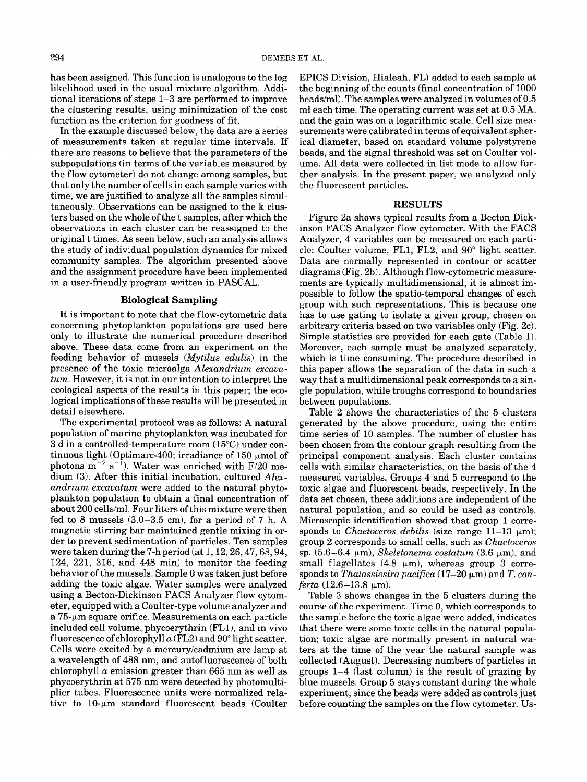has been assigned. This function is analogous to the log likelihood used in the usual mixture algorithm. Additional iterations of steps 1-3 are performed to improve the clustering results, using minimization of the cost function as the criterion for goodness of fit.

In the example discussed below, the data are a series of measurements taken at regular time intervals. If there are reasons to believe that the parameters of the subpopulations (in terms of the variables measured by the flow cytometer) do not change among samples, but that only the number of cells in each sample varies with time, we are justified to analyze all the samples simultaneously. Observations can be assigned to the **k** clusters based on the whole of the t samples, after which the observations in each cluster can be reassigned to the original t times. As seen below, such an analysis allows the study of individual population dynamics for mixed community samples. The algorithm presented above and the assignment procedure have been implemented in a user-friendly program written in PASCAL.

#### **Biological Sampling**

It is important to note that the flow-cytometric data concerning phytoplankton populations are used here only to illustrate the numerical procedure described above. These data come from an experiment on the feeding behavior of mussels *(Mytilus edulis)* in the presence of the toxic microalga *Alexandrium excavatum.* However, it is not in our intention to interpret the ecological aspects of the results in this paper; the ecological implications of these results will be presented in detail elsewhere.

The experimental protocol was as follows: A natural population of marine phytoplankton was incubated for 3 d in a controlled-temperature room (15°C) under continuous light (Optimarc-400; irradiance of 150  $\mu$ mol of photons  $\overline{m}^{-2}$  s<sup>-1</sup>). Water was enriched with F/20 medium **(3).** After this initial incubation, cultured *Alexandrium excavatum* were added to the natural phytoplankton population to obtain a final concentration of about 200 cells/ml. Four liters of this mixture were then fed to 8 mussels  $(3.0-3.5 \text{ cm})$ , for a period of 7 h. A magnetic stirring bar maintained gentle mixing in order to prevent sedimentation of particles. Ten samples were taken during the 7-h period  $(at 1, 12, 26, 47, 68, 94,$ 124, 221, 316, and 448 min) to monitor the feeding behavior of the mussels. Sample 0 was taken just before adding the toxic algae. Water samples were analyzed using a Becton-Dickinson FACS Analyzer flow cytometer, equipped with a Coulter-type volume analyzer and a  $75$ - $\mu$ m square orifice. Measurements on each particle included cell volume, phycoerythrin (FLl), and in vivo fluorescence of chlorophyll  $a$  (FL2) and 90 $^{\circ}$  light scatter. Cells were excited by a mercuryicadmium arc lamp at **a** wavelength of 488 nm, and autofluorescence of both chlorophyll *a* emission greater than 665 nm as well as phycoerythrin at 575 nm were detected by photomultiplier tubes. Fluorescence units were normalized relative to  $10$ - $\mu$ m standard fluorescent beads (Coulter EPICS Division, Hialeah, FL) added to each sample at the beginning of the counts (final concentration of 1000 beads/ml). The samples were analyzed in volumes of  $0.5$ ml each time. The operating current was set at 0.5 MA, and the gain was on a logarithmic scale. Cell size measurements were calibrated in terms of equivalent spherical diameter, based on standard volume polystyrene beads, and the signal threshold was set on Coulter volume. All data were collected in list mode to allow further analysis. In the present paper, we analyzed only the fluorescent particles.

## **RESULTS**

Figure 2a shows typical results from a Becton Dickinson FACS Analyzer flow cytometer. With the FACS Analyzer, 4 variables can be measured on each particle: Coulter volume, FL1, FL2, and 90" light scatter. Data are normally represented in contour or scatter diagrams (Fig. 2b). Although flow-cytometric measurements are typically multidimensional, it is almost impossible to follow the spatio-temporal changes of each group with such representations. This is because one has to use gating to isolate a given group, chosen on arbitrary criteria based on two variables only (Fig. 2c). Simple statistics are provided for each gate (Table 1). Moreover, each sample must be analyzed separately, which is time consuming. The procedure described in this paper allows the separation of the data in such a way that a multidimensional peak corresponds to a single population, while troughs correspond to boundaries between populations.

Table **2** shows the characteristics of the 5 clusters generated by the above procedure, using the entire time series of 10 samples. The number of cluster has been chosen from the contour graph resulting from the principal component analysis. Each cluster contains cells with similar characteristics, on the basis of the 4 measured variables. Groups **4** and *5* correspond to the toxic algae and fluorescent beads, respectively. In the data set chosen, these additions are independent of the natural population, and so could be used as controls. Microscopic identification showed that group 1 corresponds to *Chaetoceros debilis* (size range 11-13  $\mu$ m); group 2 corresponds to small cells, such as *Chaetoceros*  sp.  $(5.6-6.4 \mu m)$ , *Skeletonema costatum*  $(3.6 \mu m)$ , and small flagellates  $(4.8 \mu m)$ , whereas group 3 corresponds to *Thalassiosira pacifica*  $(17-20 \mu m)$  and *T. conferta*  $(12.6 - 13.8 \mu m)$ .

Table 3 shows changes in the 5 clusters during the course of the experiment. Time 0, which corresponds to the sample before the toxic algae were added, indicates that there were some toxic cells in the natural population; toxic algae are normally present in natural waters at the time of the year the natural sample was collected (August). Decreasing numbers of particles in groups  $1-4$  (last column) is the result of grazing by blue mussels. Group 5 stays constant during the whole experiment, since the beads were added as controls just before counting the samples on the flow cytometer. Us-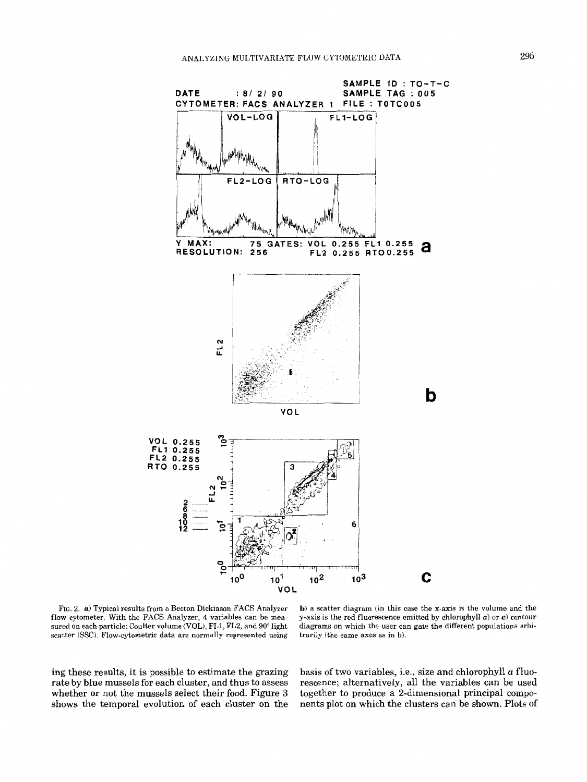

FIG. 2. **a)** Typical results from a Becton Dickinson FACS Analyzer **flow** cytometer. With the FACS Analyzer, **4** variables can be measured on each particle: Coulter volume (VOL), FL1, **FL2,** and *90"* light scatter **(SSC).** Flow-cytometric data are **normally represented** using

**b)** a scatter diagram (in this case the x-axis is the volume and the y-axis is the red fluorescence emitted by chlorophyll  $a$ ) or **c**) contour diagrams on which the user can gate the different populations arbitrarily **(the** same **axes** as in **b).** 

ing these results, it is possible to estimate the grazing rate by blue mussels for each cluster, and thus to assess whether or not the mussels select their food. Figure **3**  shows the temporal evolution of each cluster on the basis *of* two variables, i.e., size and chlorophyll *a* fluorescence; alternatively, all the variables can be used together to produce a 2-dimensional principal components plot on which the clusters can be shown. Plots of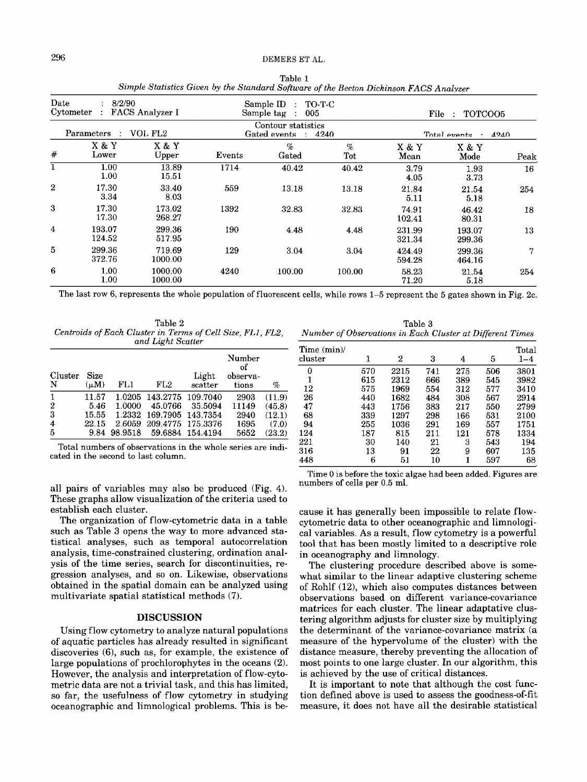| Date<br>8/2/90<br>Cytometer<br>FACS Analyzer I |                  | Sample ID<br>TO-T-C<br>$\mathcal{L}$<br>Sample tag<br>005<br>$\sim 10$<br>Contour statistics<br>Gated events : 4240 |        |               | File :<br>TOTCOO5<br>Total events .<br>4240 |                  |                  |      |
|------------------------------------------------|------------------|---------------------------------------------------------------------------------------------------------------------|--------|---------------|---------------------------------------------|------------------|------------------|------|
| VOL FL <sub>2</sub><br>Parameters :            |                  |                                                                                                                     |        |               |                                             |                  |                  |      |
| #                                              | X & Y<br>Lower   | X & Y<br>Upper                                                                                                      | Events | $\%$<br>Gated | $\%$<br>Tot                                 | X & Y<br>Mean    | X & Y<br>Mode    | Peak |
| ı                                              | 1.00<br>1.00     | 13.89<br>15.51                                                                                                      | 1714   | 40.42         | 40.42                                       | 3.79<br>4.05     | 1.93<br>3.73     | 16   |
| $\overline{2}$                                 | 17.30<br>3.34    | 33.40<br>8.03                                                                                                       | 559    | 13.18         | 13.18                                       | 21.84<br>5.11    | 21.54<br>5.18    | 254  |
| 3                                              | 17.30<br>17.30   | 173.02<br>268.27                                                                                                    | 1392   | 32.83         | 32.83                                       | 74.91<br>102.41  | 46.42<br>80.31   | 18   |
| 4                                              | 193.07<br>124.52 | 299.36<br>517.95                                                                                                    | 190    | 4.48          | 4.48                                        | 231.99<br>321.34 | 193.07<br>299.36 | 13   |
| 5                                              | 299.36<br>372.76 | 719.69<br>1000.00                                                                                                   | 129    | 3.04          | 3.04                                        | 424.49<br>594.28 | 299.36<br>464.16 | 7    |
| 6                                              | 1.00<br>1.00     | 1000.00<br>1000.00                                                                                                  | 4240   | 100.00        | 100.00                                      | 58.23<br>71.20   | 21.54<br>5.18    | 254  |

Table 1 *Simple Statistics Given by the Standard Software of the Becton Dickinson FACS Analyzer* 

The last row 6, represents the whole population of fluorescent cells, while rows 1-5 represent the 5 gates shown in Fig. 2c.

Table 2 *Centroids* of *Each Cluster in Terms of Cell Size, FLl, FL2, and Light Scatter* 

| Cluster<br>N        | Size<br>$(\mu M)$ | FL1    | FL2                      | Light<br>scatter | Number<br>оf<br>observa-<br>tions | %      |
|---------------------|-------------------|--------|--------------------------|------------------|-----------------------------------|--------|
| $\mathbf{1}$        | 11.57             |        | 1.0205 143.2775 109.7040 |                  | 2903                              | (11.9) |
| $\overline{2}$      | 5.46              | 1.0000 | 45.0766                  | 35.5094          | 11149                             | (45.8) |
| $\overline{3}$      | 15.55             |        | 1.2332 169.7905 143.7354 |                  | 2940                              | (12.1) |
| $\overline{\bf{4}}$ | 22.15             | 2.6059 | 209.4775 175.3376        |                  | 1695                              | (7.0)  |
| 5                   | 9.84              |        | 98.9518 59.6884 154.4194 |                  | 5652                              | (23.2) |

Total numbers of observations in the whole series are indicated in the second to last column.

all pairs of variables may also be produced (Fig. **4).**  These graphs allow visualization of the criteria used to establish each cluster.

The organization of flow-cytometric data in a table such as Table **3** opens the way to more advanced statistical analyses, such as temporal autocorrelation analysis, time-constrained clustering, ordination analysis of the time series, search for discontinuities, regression analyses, and so on. Likewise, observations obtained in the spatial domain can be analyzed using multivariate spatial statistical methods *(7).* 

## **DISCUSSION**

Using flow cytometry to analyze natural populations of aquatic particles has already resulted in significant discoveries *(6),* such as, for example, the existence of large populations of prochlorophytes in the oceans (2). However, the analysis and interpretation of flow-cytometric data are not a trivial task, and this has limited, so far, the usefulness of flow cytometry in studying oceanographic and limnological problems. This is be-

Table 3 *Number of Observations in Each Cluster at Different Times* 

| Time (min)/<br>$_{\rm cluster}$ |     | 2    | 3   | 4   | 5   | Total<br>$1 - 4$ |
|---------------------------------|-----|------|-----|-----|-----|------------------|
| 0                               | 570 | 2215 | 741 | 275 | 506 | 3801             |
| 1                               | 615 | 2312 | 666 | 389 | 545 | 3982             |
| 12                              | 575 | 1969 | 554 | 312 | 577 | 3410             |
| 26                              | 440 | 1682 | 484 | 308 | 567 | 2914             |
| 47                              | 443 | 1756 | 383 | 217 | 550 | 2799             |
| 68                              | 339 | 1297 | 298 | 166 | 531 | 2100             |
| 94                              | 255 | 1036 | 291 | 169 | 557 | 1751             |
| 124                             | 187 | 815  | 211 | 121 | 578 | 1334             |
| 221                             | 30  | 140  | 21  | 3   | 543 | 194              |
| 316                             | 13  | 91   | 22  | 9   | 607 | 135              |
| 448                             | 6   | 51   | 10  | 1   | 597 | 68               |

Time 0 is before the toxic algae had been added. Figures are numbers of cells per 0.5 ml.

cause it has generally been impossible to relate flowcytometric data to other oceanographic and limnological variables. **As** a result, flow cytometry is a powerful tool that has been mostly limited to a descriptive role in oceanography and limnology.

The clustering procedure described above is somewhat similar to the linear adaptive clustering scheme of Rohlf (12), which also computes distances between observations based on different variance-covariance matrices for each cluster. The linear adaptative clustering algorithm adjusts for cluster size by multiplying the determinant of the variance-covariance matrix (a measure of the hypervolume of the cluster) with the distance measure, thereby preventing the allocation of most points to one large cluster. In our algorithm, this is achieved by the use of critical distances.

It is important to note that although the cost function defined above is used to assess the goodness-of-fit measure, it does not have all the desirable statistical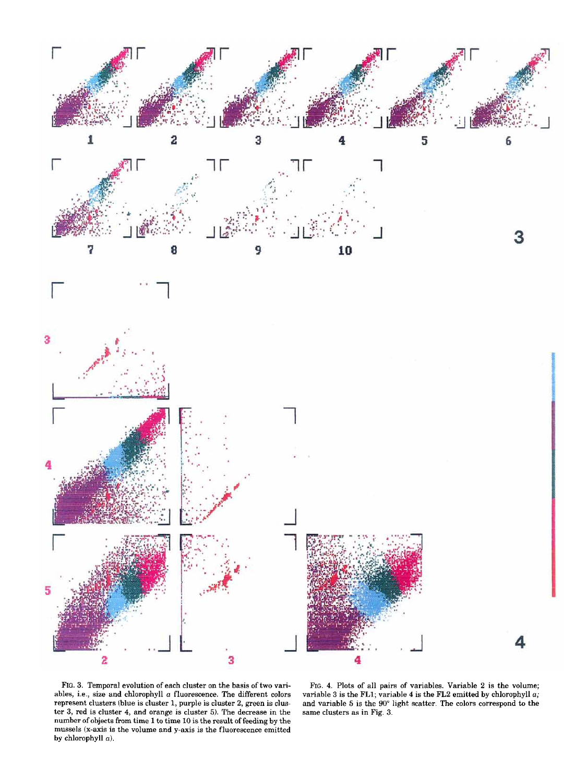



**3** 



FIG. 3. Temporal evolution of each cluster on the basis of two variables, i.e., size and chlorophyll  $a$  fluorescence. The different colors represent clusters (blue is cluster 1, purple is cluster 2, green is clustcr 3, red is cluster **4,** and orange is cluster 5). The decrease in the number of objects from time 1 to time 10 is the result of feeding by the mussels (x-axis is the volume and y-axis is the fluorescence emitted by chlorophyll  $a$ ).

FIG. **4.** Plots of all pairs of variables. Variable 2 is the volume; variable 3 is the **FL1;** variable **4** is the **FL2** emitted by chlorophyll a; and variable 5 is the **90"** light scatter. The colors correspond to the same clusters as in Fig. 3.